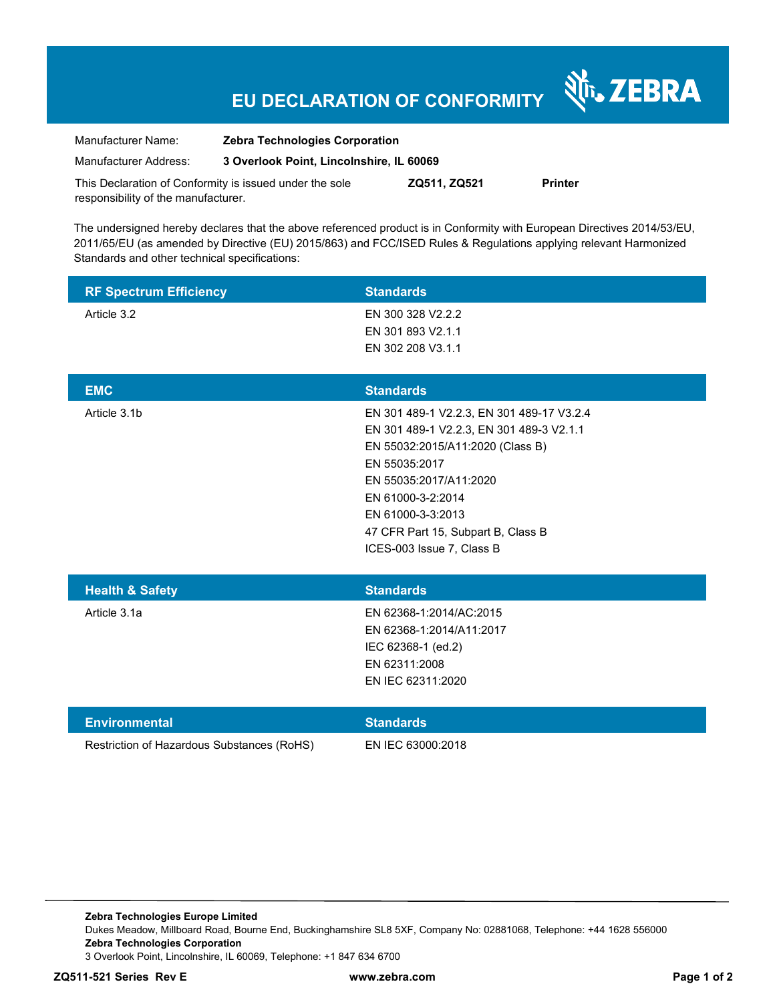# **EU DECLARATION OF CONFORMITY**

Nr. ZEBRA

| Manufacturer Name:                                      | <b>Zebra Technologies Corporation</b>    |              |         |
|---------------------------------------------------------|------------------------------------------|--------------|---------|
| Manufacturer Address:                                   | 3 Overlook Point, Lincolnshire, IL 60069 |              |         |
| This Declaration of Conformity is issued under the sole |                                          | ZQ511, ZQ521 | Printer |

responsibility of the manufacturer.

The undersigned hereby declares that the above referenced product is in Conformity with European Directives 2014/53/EU, 2011/65/EU (as amended by Directive (EU) 2015/863) and FCC/ISED Rules & Regulations applying relevant Harmonized Standards and other technical specifications:

|                                              | <b>Standards</b>                                                                                                                                                                                                                                                                  |
|----------------------------------------------|-----------------------------------------------------------------------------------------------------------------------------------------------------------------------------------------------------------------------------------------------------------------------------------|
| <b>RF Spectrum Efficiency</b><br>Article 3.2 | EN 300 328 V2.2.2<br>EN 301 893 V2.1.1<br>EN 302 208 V3.1.1                                                                                                                                                                                                                       |
| <b>EMC</b>                                   | <b>Standards</b>                                                                                                                                                                                                                                                                  |
| Article 3.1b                                 | EN 301 489-1 V2.2.3, EN 301 489-17 V3.2.4<br>EN 301 489-1 V2.2.3, EN 301 489-3 V2.1.1<br>EN 55032:2015/A11:2020 (Class B)<br>EN 55035:2017<br>EN 55035:2017/A11:2020<br>EN 61000-3-2:2014<br>EN 61000-3-3:2013<br>47 CFR Part 15, Subpart B, Class B<br>ICES-003 Issue 7, Class B |
| <b>Health &amp; Safety</b>                   | <b>Standards</b>                                                                                                                                                                                                                                                                  |
| Article 3.1a                                 | EN 62368-1:2014/AC:2015<br>EN 62368-1:2014/A11:2017<br>IEC 62368-1 (ed.2)<br>EN 62311:2008<br>EN IEC 62311:2020                                                                                                                                                                   |
| <b>Environmental</b>                         | <b>Standards</b>                                                                                                                                                                                                                                                                  |
| Restriction of Hazardous Substances (RoHS)   | EN IEC 63000:2018                                                                                                                                                                                                                                                                 |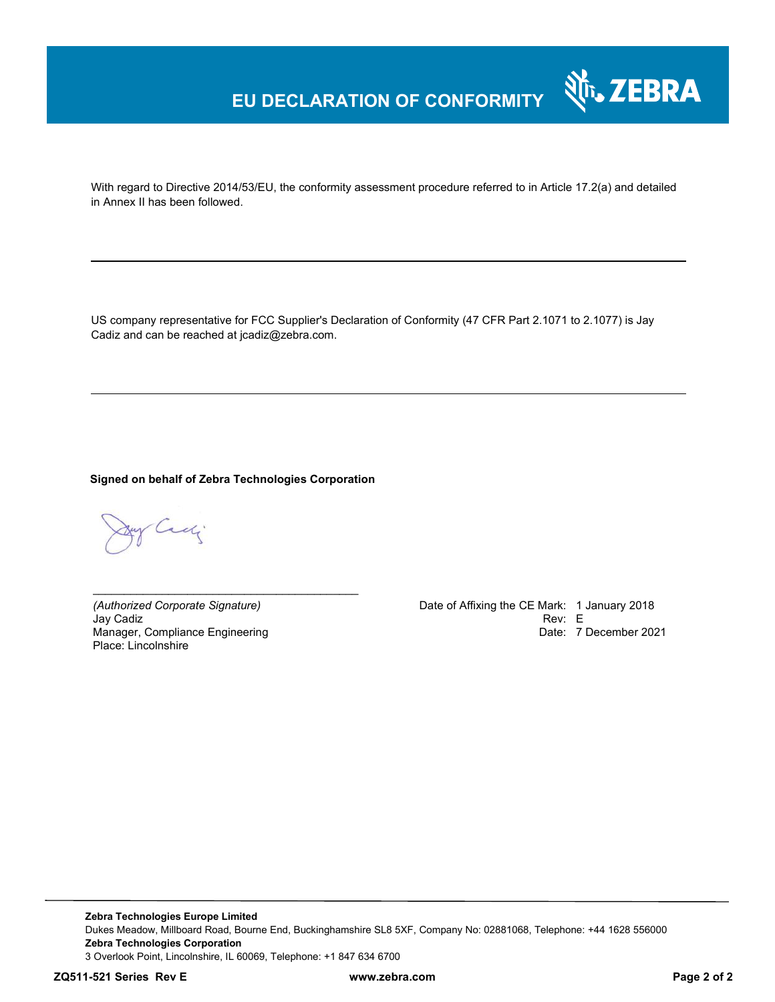### **EU DECLARATION OF CONFORMITY**

With regard to Directive 2014/53/EU, the conformity assessment procedure referred to in Article 17.2(a) and detailed in Annex II has been followed.

US company representative for FCC Supplier's Declaration of Conformity (47 CFR Part 2.1071 to 2.1077) is Jay Cadiz and can be reached at jcadiz@zebra.com.

**Signed on behalf of Zebra Technologies Corporation** 

*\_\_\_\_\_\_\_\_\_\_\_\_\_\_\_\_\_\_\_\_\_\_\_\_\_\_\_\_\_\_\_\_\_\_\_\_\_\_\_\_\_\_*

y Cady

Jay Cadiz Rev: E Manager, Compliance Engineering Place: Lincolnshire

*(Authorized Corporate Signature)* Date of Affixing the CE Mark: 1 January 2018 Date: 7 December 2021

र्शे<sub>ं</sub> ZEBRA

**Zebra Technologies Europe Limited**  Dukes Meadow, Millboard Road, Bourne End, Buckinghamshire SL8 5XF, Company No: 02881068, Telephone: +44 1628 556000 **Zebra Technologies Corporation**  3 Overlook Point, Lincolnshire, IL 60069, Telephone: +1 847 634 6700